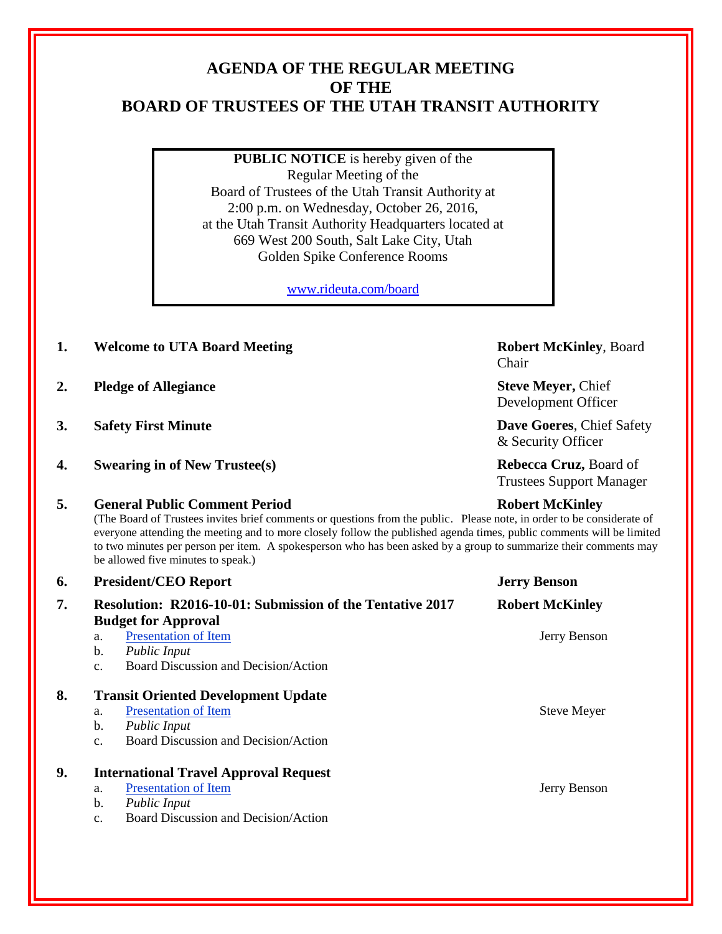# **AGENDA OF THE REGULAR MEETING OF THE BOARD OF TRUSTEES OF THE UTAH TRANSIT AUTHORITY**

**PUBLIC NOTICE** is hereby given of the Regular Meeting of the Board of Trustees of the Utah Transit Authority at 2:00 p.m. on Wednesday, October 26, 2016, at the Utah Transit Authority Headquarters located at 669 West 200 South, Salt Lake City, Utah Golden Spike Conference Rooms

[www.rideuta.com/board](http://www.rideuta.com/board)

- **1. Welcome to UTA Board Meeting <b>Robert McKinley**, Board
- **2. Pledge of Allegiance Steve Meyer,** Chief
- 
- **4. Swearing in of New Trustee(s) Rebecca Cruz,** Board of

### **5. General Public Comment Period Robert McKinley**

(The Board of Trustees invites brief comments or questions from the public. Please note, in order to be considerate of everyone attending the meeting and to more closely follow the published agenda times, public comments will be limited to two minutes per person per item. A spokesperson who has been asked by a group to summarize their comments may be allowed five minutes to speak.)

| 6. | <b>President/CEO Report</b>                                                                                                                                             | <b>Jerry Benson</b>    |
|----|-------------------------------------------------------------------------------------------------------------------------------------------------------------------------|------------------------|
| 7. | <b>Resolution: R2016-10-01: Submission of the Tentative 2017</b><br><b>Budget for Approval</b>                                                                          | <b>Robert McKinley</b> |
|    | <b>Presentation of Item</b><br>a.<br>b.<br><b>Public Input</b><br>Board Discussion and Decision/Action<br>C <sub>1</sub>                                                | Jerry Benson           |
| 8. | <b>Transit Oriented Development Update</b><br><b>Presentation of Item</b><br>a.<br>b.<br><b>Public Input</b><br>Board Discussion and Decision/Action<br>c.              | <b>Steve Meyer</b>     |
| 9. | <b>International Travel Approval Request</b><br><b>Presentation of Item</b><br>a.<br>b.<br><b>Public Input</b><br>Board Discussion and Decision/Action<br>$C_{\bullet}$ | Jerry Benson           |

Chair

Development Officer

**3. Safety First Minute Dave Goeres**, Chief Safety & Security Officer

Trustees Support Manager